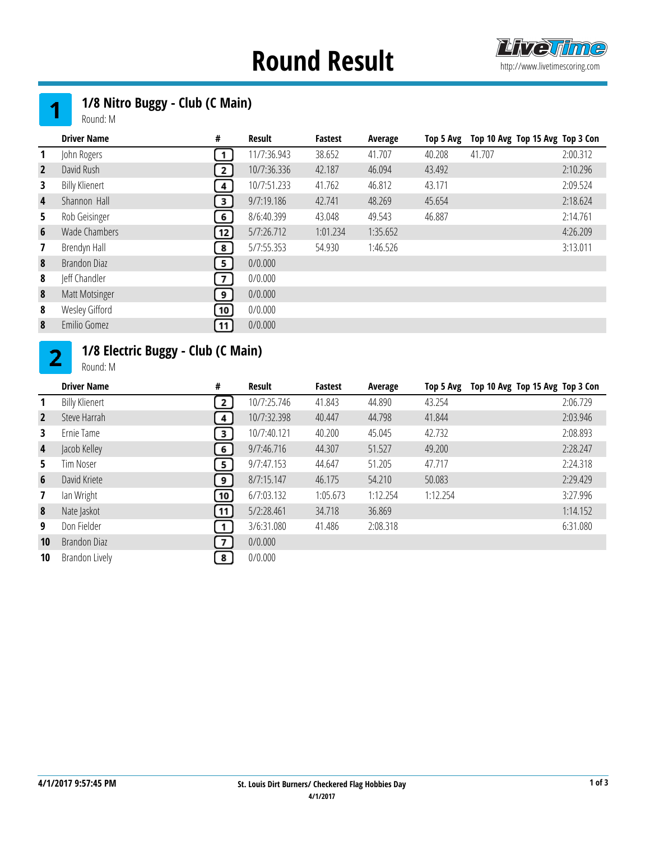## **Round Result http://www.livetimescoring.com**



### 1/8 Nitro Buggy - Club (C Main)

Round: M

|                | <b>Driver Name</b>    | #              | <b>Result</b> | <b>Fastest</b> | Average  | Top 5 Avg | Top 10 Avg Top 15 Avg Top 3 Con |          |
|----------------|-----------------------|----------------|---------------|----------------|----------|-----------|---------------------------------|----------|
|                | John Rogers           | 1              | 11/7:36.943   | 38.652         | 41.707   | 40.208    | 41.707                          | 2:00.312 |
| $\overline{2}$ | David Rush            | 2 J            | 10/7:36.336   | 42.187         | 46.094   | 43.492    |                                 | 2:10.296 |
| 3              | <b>Billy Klienert</b> | $4 \mid$       | 10/7:51.233   | 41.762         | 46.812   | 43.171    |                                 | 2:09.524 |
| 4              | Shannon Hall          | 3              | 9/7:19.186    | 42.741         | 48.269   | 45.654    |                                 | 2:18.624 |
| 5.             | Rob Geisinger         | 6              | 8/6:40.399    | 43.048         | 49.543   | 46.887    |                                 | 2:14.761 |
| 6              | Wade Chambers         | 12             | 5/7:26.712    | 1:01.234       | 1:35.652 |           |                                 | 4:26.209 |
|                | Brendyn Hall          | 8              | 5/7:55.353    | 54.930         | 1:46.526 |           |                                 | 3:13.011 |
| 8              | Brandon Diaz          | 5              | 0/0.000       |                |          |           |                                 |          |
| 8              | Jeff Chandler         | 7 <sup>1</sup> | 0/0.000       |                |          |           |                                 |          |
| 8              | Matt Motsinger        | 9 ]            | 0/0.000       |                |          |           |                                 |          |
| 8              | Wesley Gifford        | 10             | 0/0.000       |                |          |           |                                 |          |
| 8              | Emilio Gomez          | 11             | 0/0.000       |                |          |           |                                 |          |

#### 1/8 Electric Buggy - Club (C Main)  $2<sup>1</sup>$

Round: M

|                         | <b>Driver Name</b>    | #                       | Result      | <b>Fastest</b> | Average  | Top 5 Avg | Top 10 Avg Top 15 Avg Top 3 Con |          |
|-------------------------|-----------------------|-------------------------|-------------|----------------|----------|-----------|---------------------------------|----------|
| $\mathbf{1}$            | <b>Billy Klienert</b> | 2 <sup>1</sup>          | 10/7:25.746 | 41.843         | 44.890   | 43.254    |                                 | 2:06.729 |
| $\overline{2}$          | Steve Harrah          | $\overline{4}$          | 10/7:32.398 | 40.447         | 44.798   | 41.844    |                                 | 2:03.946 |
| 3                       | Ernie Tame            | $\overline{\mathbf{3}}$ | 10/7:40.121 | 40.200         | 45.045   | 42.732    |                                 | 2:08.893 |
| $\overline{\mathbf{4}}$ | Jacob Kelley          | 6 <sup>1</sup>          | 9/7:46.716  | 44.307         | 51.527   | 49.200    |                                 | 2:28.247 |
| 5.                      | Tim Noser             | 5                       | 9/7:47.153  | 44.647         | 51.205   | 47.717    |                                 | 2:24.318 |
| 6                       | David Kriete          | ر و                     | 8/7:15.147  | 46.175         | 54.210   | 50.083    |                                 | 2:29.429 |
| 7                       | lan Wright            | 10                      | 6/7:03.132  | 1:05.673       | 1:12.254 | 1:12.254  |                                 | 3:27.996 |
| 8                       | Nate Jaskot           | 11                      | 5/2:28.461  | 34.718         | 36.869   |           |                                 | 1:14.152 |
| 9                       | Don Fielder           | $\mathbf{1}$            | 3/6:31.080  | 41.486         | 2:08.318 |           |                                 | 6:31.080 |
| 10                      | Brandon Diaz          | 7 <sup>1</sup>          | 0/0.000     |                |          |           |                                 |          |
| 10                      | Brandon Lively        | 8                       | 0/0.000     |                |          |           |                                 |          |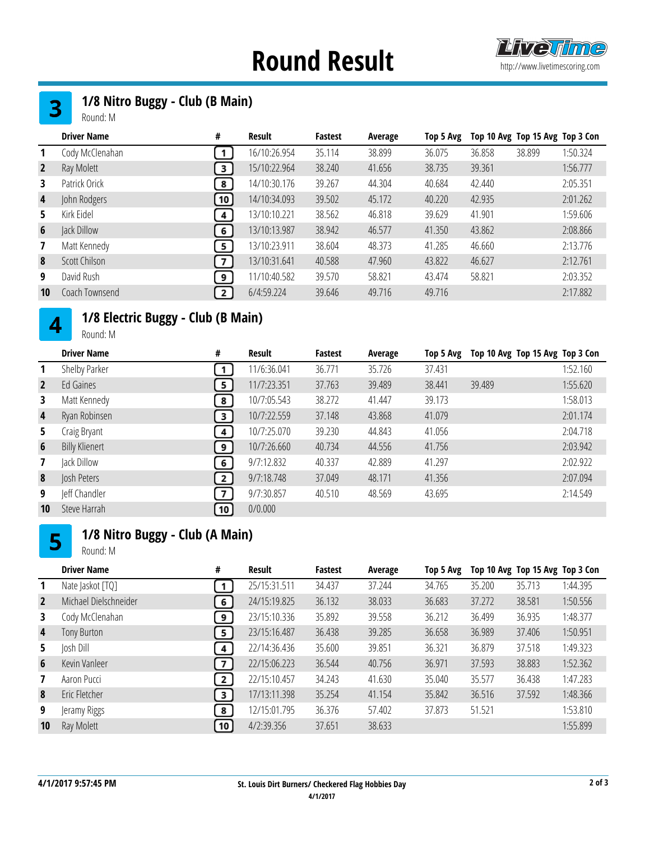### **Round Result http://www.livetimescoring.com**



#### 1/8 Nitro Buggy - Club (B Main)  $3<sup>1</sup>$

Round: M

| Cody McClenahan<br>16/10:26.954<br>35.114<br>38.899<br>1:50.324<br>38.899<br>36.858<br>36.075<br>1<br>Ray Molett<br>15/10:22.964<br>38.240<br>$\overline{2}$<br>41.656<br>38.735<br>39.361<br>1:56.777<br>3<br>Patrick Orick<br>14/10:30.176<br>39.267<br>44.304<br>2:05.351<br>40.684<br>42.440<br>3.<br>8<br>John Rodgers<br>39.502<br>14/10:34.093<br>45.172<br>40.220<br>42.935<br>2:01.262<br>4<br>10 <sub>1</sub> | Top 10 Avg Top 15 Avg Top 3 Con |
|-------------------------------------------------------------------------------------------------------------------------------------------------------------------------------------------------------------------------------------------------------------------------------------------------------------------------------------------------------------------------------------------------------------------------|---------------------------------|
|                                                                                                                                                                                                                                                                                                                                                                                                                         |                                 |
|                                                                                                                                                                                                                                                                                                                                                                                                                         |                                 |
|                                                                                                                                                                                                                                                                                                                                                                                                                         |                                 |
|                                                                                                                                                                                                                                                                                                                                                                                                                         |                                 |
| Kirk Eidel<br>38.562<br>13/10:10.221<br>46.818<br>39.629<br>41.901<br>1:59.606<br>5.<br>$4 \mid$                                                                                                                                                                                                                                                                                                                        |                                 |
| 13/10:13.987<br>38.942<br>46.577<br>43.862<br>2:08.866<br>Jack Dillow<br>41.350<br>6<br>6                                                                                                                                                                                                                                                                                                                               |                                 |
| Matt Kennedy<br>13/10:23.911<br>38.604<br>48.373<br>41.285<br>46.660<br>2:13.776<br>5 <sup>1</sup><br>$\overline{7}$                                                                                                                                                                                                                                                                                                    |                                 |
| Scott Chilson<br>13/10:31.641<br>40.588<br>2:12.761<br>8<br>47.960<br>43.822<br>46.627<br><b>7</b> J                                                                                                                                                                                                                                                                                                                    |                                 |
| David Rush<br>11/10:40.582<br>39.570<br>58.821<br>43.474<br>58.821<br>2:03.352<br>9<br>9                                                                                                                                                                                                                                                                                                                                |                                 |
| Coach Townsend<br>6/4:59.224<br>49.716<br>10<br>39.646<br>49.716<br>2:17.882<br>2 <sup>1</sup>                                                                                                                                                                                                                                                                                                                          |                                 |

#### 1/8 Electric Buggy - Club (B Main)  $\overline{\mathbf{4}}$

Round: M

|                         | <b>Driver Name</b>    | #              | Result      | <b>Fastest</b> | Average | Top 5 Avg | Top 10 Avg Top 15 Avg Top 3 Con |          |
|-------------------------|-----------------------|----------------|-------------|----------------|---------|-----------|---------------------------------|----------|
| 1                       | Shelby Parker         |                | 11/6:36.041 | 36,771         | 35.726  | 37.431    |                                 | 1:52.160 |
| $\overline{2}$          | Ed Gaines             | 5              | 11/7:23.351 | 37.763         | 39.489  | 38.441    | 39.489                          | 1:55.620 |
| 3                       | Matt Kennedy          | 8              | 10/7:05.543 | 38.272         | 41.447  | 39.173    |                                 | 1:58.013 |
| $\overline{\mathbf{4}}$ | Ryan Robinsen         | 3              | 10/7:22.559 | 37.148         | 43.868  | 41.079    |                                 | 2:01.174 |
| 5.                      | Craig Bryant          | 4              | 10/7:25.070 | 39.230         | 44.843  | 41.056    |                                 | 2:04.718 |
| $6\phantom{1}$          | <b>Billy Klienert</b> | 9              | 10/7:26.660 | 40.734         | 44.556  | 41.756    |                                 | 2:03.942 |
| 7                       | Jack Dillow           | 6              | 9/7:12.832  | 40.337         | 42.889  | 41.297    |                                 | 2:02.922 |
| 8                       | Josh Peters           | 2 <sub>1</sub> | 9/7:18.748  | 37.049         | 48.171  | 41.356    |                                 | 2:07.094 |
| 9                       | leff Chandler         | $\overline{7}$ | 9/7:30.857  | 40.510         | 48.569  | 43.695    |                                 | 2:14.549 |
| 10                      | Steve Harrah          | 10             | 0/0.000     |                |         |           |                                 |          |

### 1/8 Nitro Buggy - Club (A Main)

Round: M

|                | <b>Driver Name</b>    | #                       | Result       | <b>Fastest</b> | Average | Top 5 Avg |        | Top 10 Avg Top 15 Avg Top 3 Con |          |
|----------------|-----------------------|-------------------------|--------------|----------------|---------|-----------|--------|---------------------------------|----------|
| 1              | Nate Jaskot [TQ]      | 1                       | 25/15:31.511 | 34.437         | 37.244  | 34.765    | 35.200 | 35.713                          | 1:44.395 |
| $\overline{2}$ | Michael Dielschneider | $6^{\circ}$             | 24/15:19.825 | 36.132         | 38.033  | 36.683    | 37.272 | 38.581                          | 1:50.556 |
| 3              | Cody McClenahan       | 9 <sup>1</sup>          | 23/15:10.336 | 35.892         | 39.558  | 36.212    | 36.499 | 36.935                          | 1:48.377 |
| 4              | Tony Burton           | $5^{\circ}$             | 23/15:16.487 | 36.438         | 39.285  | 36.658    | 36.989 | 37.406                          | 1:50.951 |
| 5.             | Josh Dill             | $\overline{4}$          | 22/14:36.436 | 35.600         | 39.851  | 36.321    | 36.879 | 37.518                          | 1:49.323 |
| 6              | Kevin Vanleer         | $\overline{ }$          | 22/15:06.223 | 36.544         | 40.756  | 36.971    | 37.593 | 38.883                          | 1:52.362 |
| $\mathbf{7}$   | Aaron Pucci           | $\overline{2}$          | 22/15:10.457 | 34.243         | 41.630  | 35.040    | 35.577 | 36.438                          | 1:47.283 |
| 8              | Eric Fletcher         | $\overline{\mathbf{3}}$ | 17/13:11.398 | 35.254         | 41.154  | 35.842    | 36.516 | 37.592                          | 1:48.366 |
| 9              | Jeramy Riggs          | 8                       | 12/15:01.795 | 36.376         | 57.402  | 37.873    | 51.521 |                                 | 1:53.810 |
| 10             | Ray Molett            | 10                      | 4/2:39.356   | 37.651         | 38.633  |           |        |                                 | 1:55.899 |